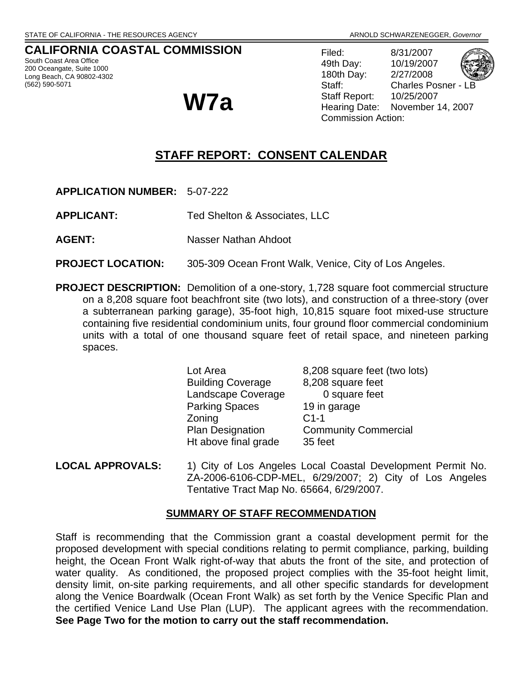# **CALIFORNIA COASTAL COMMISSION**

South Coast Area Office 200 Oceangate, Suite 1000 Long Beach, CA 90802-4302 (562) 590-5071

Filed: 8/31/2007 49th Day: 10/19/2007 180th Day: 2/27/2008 Staff: Charles Posner - LB Staff Report: 10/25/2007 **W7a** Staff Report: 10/25/2007<br>Hearing Date: November 14, 2007 Commission Action:

# **STAFF REPORT: CONSENT CALENDAR**

**APPLICATION NUMBER:** 5-07-222

**APPLICANT:** Ted Shelton & Associates, LLC

**AGENT:** Nasser Nathan Ahdoot

- **PROJECT LOCATION:** 305-309 Ocean Front Walk, Venice, City of Los Angeles.
- **PROJECT DESCRIPTION:** Demolition of a one-story, 1,728 square foot commercial structure on a 8,208 square foot beachfront site (two lots), and construction of a three-story (over a subterranean parking garage), 35-foot high, 10,815 square foot mixed-use structure containing five residential condominium units, four ground floor commercial condominium units with a total of one thousand square feet of retail space, and nineteen parking spaces.

| Lot Area                 | 8,208 square feet (two lots) |
|--------------------------|------------------------------|
| <b>Building Coverage</b> | 8,208 square feet            |
| Landscape Coverage       | 0 square feet                |
| <b>Parking Spaces</b>    | 19 in garage                 |
| Zoning                   | $C1-1$                       |
| <b>Plan Designation</b>  | <b>Community Commercial</b>  |
| Ht above final grade     | 35 feet                      |
|                          |                              |

**LOCAL APPROVALS:** 1) City of Los Angeles Local Coastal Development Permit No. ZA-2006-6106-CDP-MEL, 6/29/2007; 2) City of Los Angeles Tentative Tract Map No. 65664, 6/29/2007.

# **SUMMARY OF STAFF RECOMMENDATION**

Staff is recommending that the Commission grant a coastal development permit for the proposed development with special conditions relating to permit compliance, parking, building height, the Ocean Front Walk right-of-way that abuts the front of the site, and protection of water quality. As conditioned, the proposed project complies with the 35-foot height limit, density limit, on-site parking requirements, and all other specific standards for development along the Venice Boardwalk (Ocean Front Walk) as set forth by the Venice Specific Plan and the certified Venice Land Use Plan (LUP). The applicant agrees with the recommendation. **See Page Two for the motion to carry out the staff recommendation.**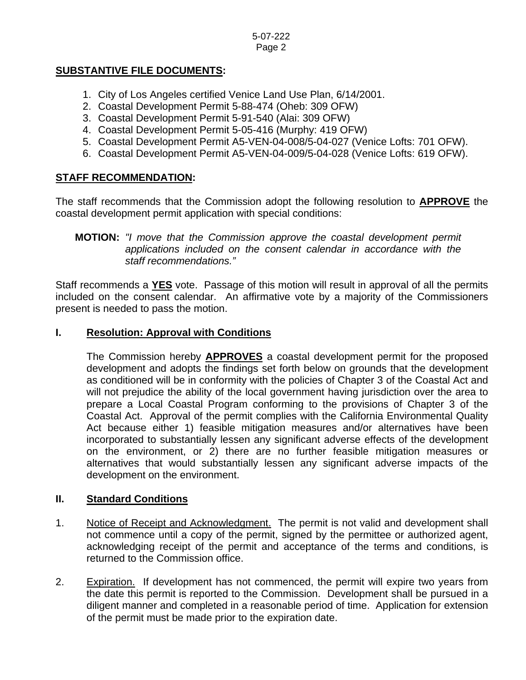# **SUBSTANTIVE FILE DOCUMENTS:**

- 1. City of Los Angeles certified Venice Land Use Plan, 6/14/2001.
- 2. Coastal Development Permit 5-88-474 (Oheb: 309 OFW)
- 3. Coastal Development Permit 5-91-540 (Alai: 309 OFW)
- 4. Coastal Development Permit 5-05-416 (Murphy: 419 OFW)
- 5. Coastal Development Permit A5-VEN-04-008/5-04-027 (Venice Lofts: 701 OFW).
- 6. Coastal Development Permit A5-VEN-04-009/5-04-028 (Venice Lofts: 619 OFW).

# **STAFF RECOMMENDATION:**

The staff recommends that the Commission adopt the following resolution to **APPROVE** the coastal development permit application with special conditions:

## **MOTION:** *"I move that the Commission approve the coastal development permit applications included on the consent calendar in accordance with the staff recommendations."*

Staff recommends a **YES** vote. Passage of this motion will result in approval of all the permits included on the consent calendar. An affirmative vote by a majority of the Commissioners present is needed to pass the motion.

## **I. Resolution: Approval with Conditions**

The Commission hereby **APPROVES** a coastal development permit for the proposed development and adopts the findings set forth below on grounds that the development as conditioned will be in conformity with the policies of Chapter 3 of the Coastal Act and will not prejudice the ability of the local government having jurisdiction over the area to prepare a Local Coastal Program conforming to the provisions of Chapter 3 of the Coastal Act. Approval of the permit complies with the California Environmental Quality Act because either 1) feasible mitigation measures and/or alternatives have been incorporated to substantially lessen any significant adverse effects of the development on the environment, or 2) there are no further feasible mitigation measures or alternatives that would substantially lessen any significant adverse impacts of the development on the environment.

# **II. Standard Conditions**

- 1. Notice of Receipt and Acknowledgment. The permit is not valid and development shall not commence until a copy of the permit, signed by the permittee or authorized agent, acknowledging receipt of the permit and acceptance of the terms and conditions, is returned to the Commission office.
- 2. Expiration. If development has not commenced, the permit will expire two years from the date this permit is reported to the Commission. Development shall be pursued in a diligent manner and completed in a reasonable period of time. Application for extension of the permit must be made prior to the expiration date.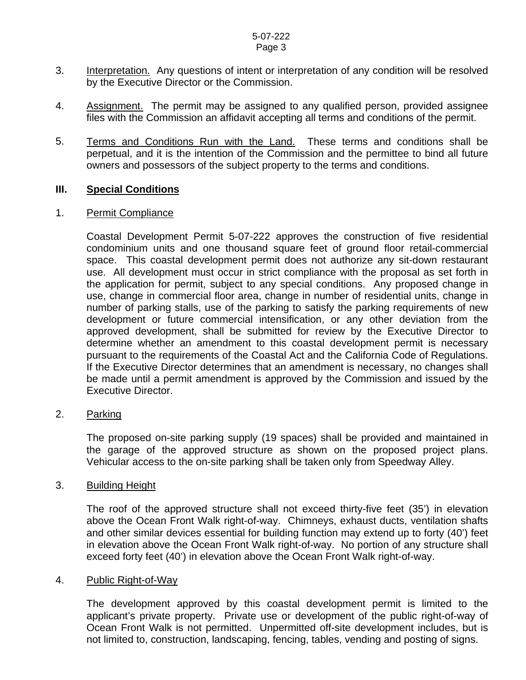#### 5-07-222 Page 3

- 3. Interpretation. Any questions of intent or interpretation of any condition will be resolved by the Executive Director or the Commission.
- 4. Assignment. The permit may be assigned to any qualified person, provided assignee files with the Commission an affidavit accepting all terms and conditions of the permit.
- 5. Terms and Conditions Run with the Land. These terms and conditions shall be perpetual, and it is the intention of the Commission and the permittee to bind all future owners and possessors of the subject property to the terms and conditions.

# **III. Special Conditions**

#### 1. Permit Compliance

 Coastal Development Permit 5-07-222 approves the construction of five residential condominium units and one thousand square feet of ground floor retail-commercial space. This coastal development permit does not authorize any sit-down restaurant use. All development must occur in strict compliance with the proposal as set forth in the application for permit, subject to any special conditions. Any proposed change in use, change in commercial floor area, change in number of residential units, change in number of parking stalls, use of the parking to satisfy the parking requirements of new development or future commercial intensification, or any other deviation from the approved development, shall be submitted for review by the Executive Director to determine whether an amendment to this coastal development permit is necessary pursuant to the requirements of the Coastal Act and the California Code of Regulations. If the Executive Director determines that an amendment is necessary, no changes shall be made until a permit amendment is approved by the Commission and issued by the Executive Director.

#### 2. Parking

 The proposed on-site parking supply (19 spaces) shall be provided and maintained in the garage of the approved structure as shown on the proposed project plans. Vehicular access to the on-site parking shall be taken only from Speedway Alley.

#### 3. Building Height

The roof of the approved structure shall not exceed thirty-five feet (35') in elevation above the Ocean Front Walk right-of-way. Chimneys, exhaust ducts, ventilation shafts and other similar devices essential for building function may extend up to forty (40') feet in elevation above the Ocean Front Walk right-of-way. No portion of any structure shall exceed forty feet (40') in elevation above the Ocean Front Walk right-of-way.

#### 4. Public Right-of-Way

 The development approved by this coastal development permit is limited to the applicant's private property. Private use or development of the public right-of-way of Ocean Front Walk is not permitted. Unpermitted off-site development includes, but is not limited to, construction, landscaping, fencing, tables, vending and posting of signs.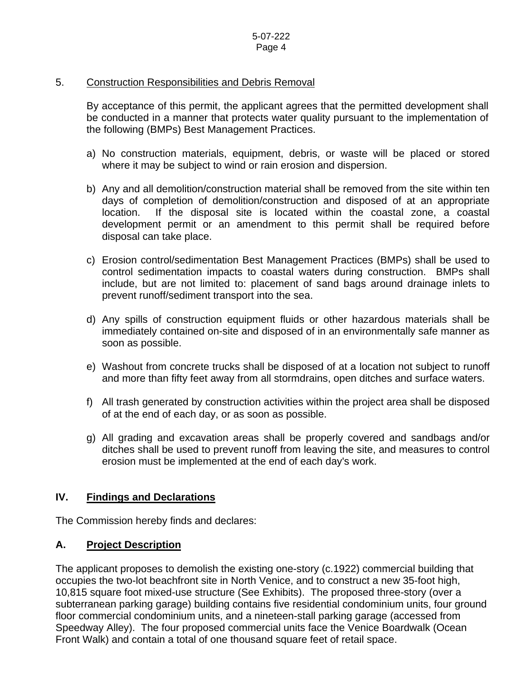## 5. Construction Responsibilities and Debris Removal

By acceptance of this permit, the applicant agrees that the permitted development shall be conducted in a manner that protects water quality pursuant to the implementation of the following (BMPs) Best Management Practices.

- a) No construction materials, equipment, debris, or waste will be placed or stored where it may be subject to wind or rain erosion and dispersion.
- b) Any and all demolition/construction material shall be removed from the site within ten days of completion of demolition/construction and disposed of at an appropriate location. If the disposal site is located within the coastal zone, a coastal development permit or an amendment to this permit shall be required before disposal can take place.
- c) Erosion control/sedimentation Best Management Practices (BMPs) shall be used to control sedimentation impacts to coastal waters during construction. BMPs shall include, but are not limited to: placement of sand bags around drainage inlets to prevent runoff/sediment transport into the sea.
- d) Any spills of construction equipment fluids or other hazardous materials shall be immediately contained on-site and disposed of in an environmentally safe manner as soon as possible.
- e) Washout from concrete trucks shall be disposed of at a location not subject to runoff and more than fifty feet away from all stormdrains, open ditches and surface waters.
- f) All trash generated by construction activities within the project area shall be disposed of at the end of each day, or as soon as possible.
- g) All grading and excavation areas shall be properly covered and sandbags and/or ditches shall be used to prevent runoff from leaving the site, and measures to control erosion must be implemented at the end of each day's work.

#### **IV. Findings and Declarations**

The Commission hereby finds and declares:

# **A. Project Description**

The applicant proposes to demolish the existing one-story (c.1922) commercial building that occupies the two-lot beachfront site in North Venice, and to construct a new 35-foot high, 10,815 square foot mixed-use structure (See Exhibits). The proposed three-story (over a subterranean parking garage) building contains five residential condominium units, four ground floor commercial condominium units, and a nineteen-stall parking garage (accessed from Speedway Alley). The four proposed commercial units face the Venice Boardwalk (Ocean Front Walk) and contain a total of one thousand square feet of retail space.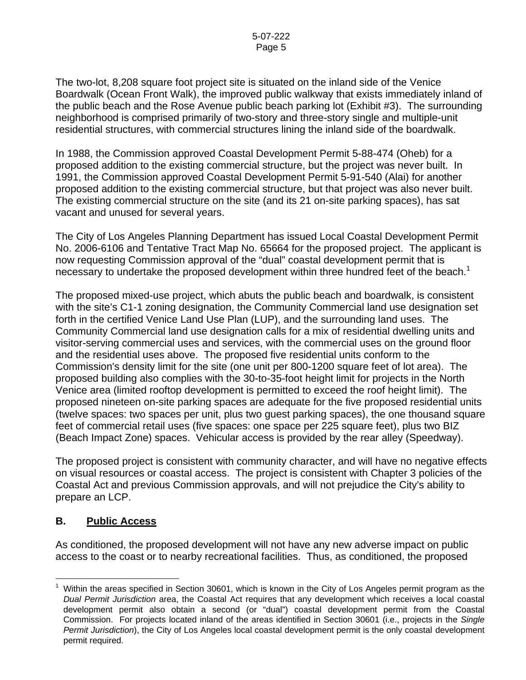The two-lot, 8,208 square foot project site is situated on the inland side of the Venice Boardwalk (Ocean Front Walk), the improved public walkway that exists immediately inland of the public beach and the Rose Avenue public beach parking lot (Exhibit #3). The surrounding neighborhood is comprised primarily of two-story and three-story single and multiple-unit residential structures, with commercial structures lining the inland side of the boardwalk.

In 1988, the Commission approved Coastal Development Permit 5-88-474 (Oheb) for a proposed addition to the existing commercial structure, but the project was never built. In 1991, the Commission approved Coastal Development Permit 5-91-540 (Alai) for another proposed addition to the existing commercial structure, but that project was also never built. The existing commercial structure on the site (and its 21 on-site parking spaces), has sat vacant and unused for several years.

The City of Los Angeles Planning Department has issued Local Coastal Development Permit No. 2006-6106 and Tentative Tract Map No. 65664 for the proposed project. The applicant is now requesting Commission approval of the "dual" coastal development permit that is necessary to undertake the proposed development within three hundred feet of the beach.<sup>[1](#page-4-0)</sup>

The proposed mixed-use project, which abuts the public beach and boardwalk, is consistent with the site's C1-1 zoning designation, the Community Commercial land use designation set forth in the certified Venice Land Use Plan (LUP), and the surrounding land uses. The Community Commercial land use designation calls for a mix of residential dwelling units and visitor-serving commercial uses and services, with the commercial uses on the ground floor and the residential uses above. The proposed five residential units conform to the Commission's density limit for the site (one unit per 800-1200 square feet of lot area). The proposed building also complies with the 30-to-35-foot height limit for projects in the North Venice area (limited rooftop development is permitted to exceed the roof height limit). The proposed nineteen on-site parking spaces are adequate for the five proposed residential units (twelve spaces: two spaces per unit, plus two guest parking spaces), the one thousand square feet of commercial retail uses (five spaces: one space per 225 square feet), plus two BIZ (Beach Impact Zone) spaces. Vehicular access is provided by the rear alley (Speedway).

The proposed project is consistent with community character, and will have no negative effects on visual resources or coastal access. The project is consistent with Chapter 3 policies of the Coastal Act and previous Commission approvals, and will not prejudice the City's ability to prepare an LCP.

# **B. Public Access**

As conditioned, the proposed development will not have any new adverse impact on public access to the coast or to nearby recreational facilities. Thus, as conditioned, the proposed

<span id="page-4-0"></span> $\overline{a}$  $1$  Within the areas specified in Section 30601, which is known in the City of Los Angeles permit program as the *Dual Permit Jurisdiction* area, the Coastal Act requires that any development which receives a local coastal development permit also obtain a second (or "dual") coastal development permit from the Coastal Commission. For projects located inland of the areas identified in Section 30601 (i.e., projects in the *Single Permit Jurisdiction*), the City of Los Angeles local coastal development permit is the only coastal development permit required.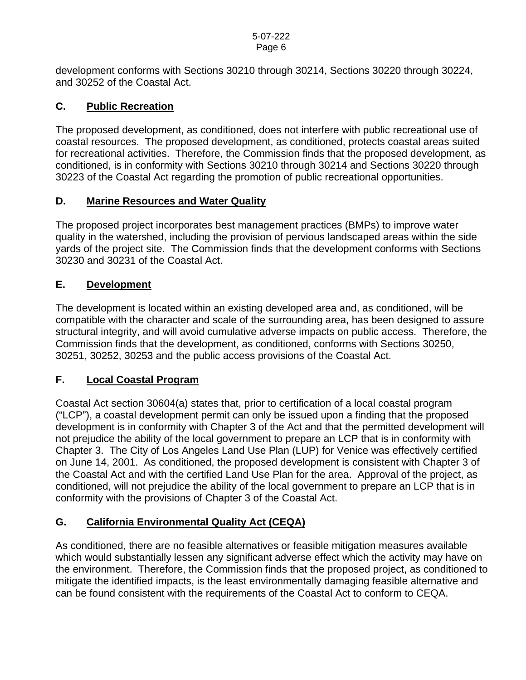development conforms with Sections 30210 through 30214, Sections 30220 through 30224, and 30252 of the Coastal Act.

# **C. Public Recreation**

The proposed development, as conditioned, does not interfere with public recreational use of coastal resources. The proposed development, as conditioned, protects coastal areas suited for recreational activities. Therefore, the Commission finds that the proposed development, as conditioned, is in conformity with Sections 30210 through 30214 and Sections 30220 through 30223 of the Coastal Act regarding the promotion of public recreational opportunities.

# **D. Marine Resources and Water Quality**

The proposed project incorporates best management practices (BMPs) to improve water quality in the watershed, including the provision of pervious landscaped areas within the side yards of the project site. The Commission finds that the development conforms with Sections 30230 and 30231 of the Coastal Act.

# **E. Development**

The development is located within an existing developed area and, as conditioned, will be compatible with the character and scale of the surrounding area, has been designed to assure structural integrity, and will avoid cumulative adverse impacts on public access. Therefore, the Commission finds that the development, as conditioned, conforms with Sections 30250, 30251, 30252, 30253 and the public access provisions of the Coastal Act.

# **F. Local Coastal Program**

Coastal Act section 30604(a) states that, prior to certification of a local coastal program ("LCP"), a coastal development permit can only be issued upon a finding that the proposed development is in conformity with Chapter 3 of the Act and that the permitted development will not prejudice the ability of the local government to prepare an LCP that is in conformity with Chapter 3. The City of Los Angeles Land Use Plan (LUP) for Venice was effectively certified on June 14, 2001. As conditioned, the proposed development is consistent with Chapter 3 of the Coastal Act and with the certified Land Use Plan for the area. Approval of the project, as conditioned, will not prejudice the ability of the local government to prepare an LCP that is in conformity with the provisions of Chapter 3 of the Coastal Act.

# **G. California Environmental Quality Act (CEQA)**

As conditioned, there are no feasible alternatives or feasible mitigation measures available which would substantially lessen any significant adverse effect which the activity may have on the environment. Therefore, the Commission finds that the proposed project, as conditioned to mitigate the identified impacts, is the least environmentally damaging feasible alternative and can be found consistent with the requirements of the Coastal Act to conform to CEQA.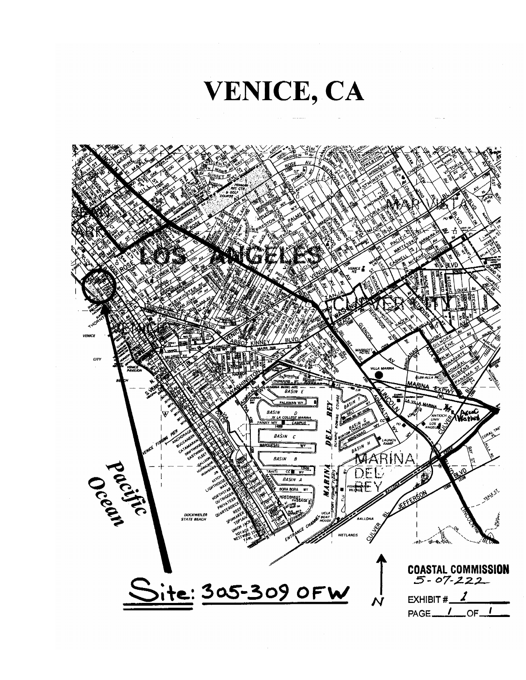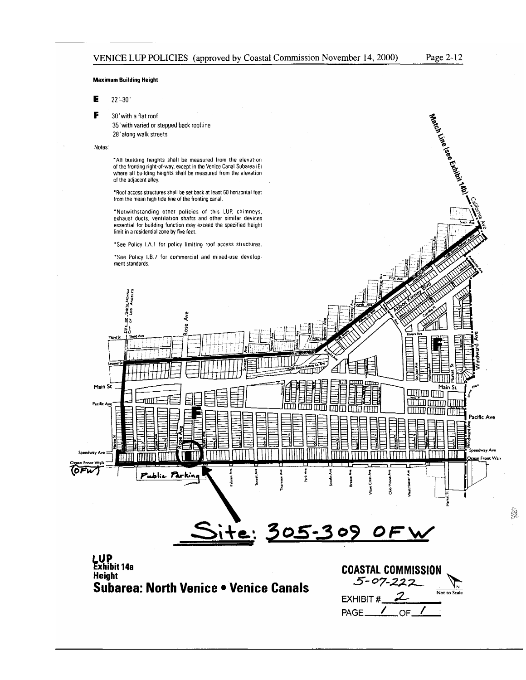Match Line Less Exhibit (140)

#### **Maximum Building Height**

 $\mathbf E$  $22 - 30'$ 

F 30' with a flat roof

> 35' with varied or stepped back roofline 28' along walk streets

#### Notes:

\*All building heights shall be measured from the elevation<br>of the fronting right-of-way, except in the Venice Canal Subarea (E)<br>where all building heights shall be measured from the elevation of the adjacent alley.

\*Roof access structures shall be set back at least 60 horizontal feet from the mean high tide line of the fronting canal.

\*Notwithstanding other policies of this LUP, chimneys,<br>exhaust ducts, ventilation shafts and other similar devices essential for building function may exceed the specified height limit in a residential zone by five feet.

\*See Policy LA.1 for policy limiting roof access structures.

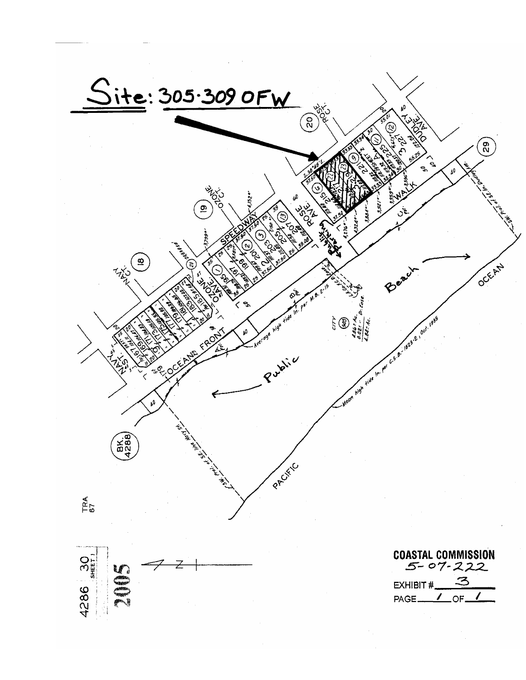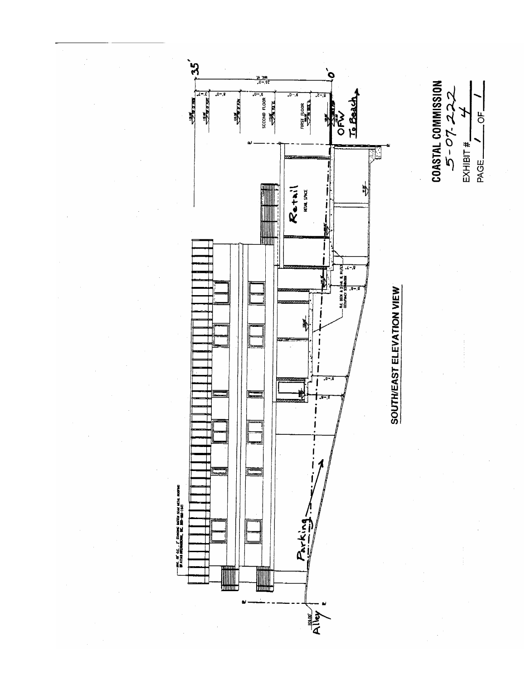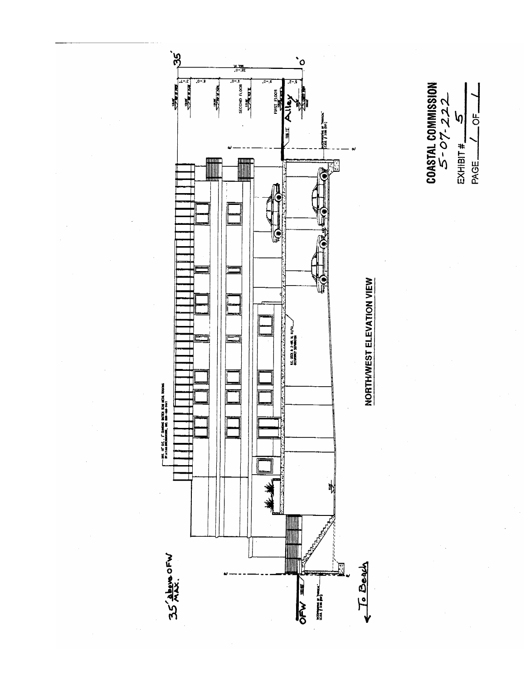

 $\left| 0 \right|$  $\begin{array}{c}\n\text{EXHIBIT}\# \underline{\qquad} \\
\text{PAGE} \underline{\qquad} \underline{\qquad} \underline{\qquad} \underline{\qquad} \underline{\qquad} \underline{\qquad} \underline{\qquad} \underline{\qquad} \underline{\qquad} \underline{\qquad} \underline{\qquad} \underline{\qquad} \underline{\qquad} \underline{\qquad} \underline{\qquad} \underline{\qquad} \underline{\qquad} \underline{\qquad} \underline{\qquad} \underline{\qquad} \underline{\qquad} \underline{\qquad} \underline{\qquad} \underline{\qquad} \underline{\qquad} \underline{\qquad} \underline{\qquad} \underline{\qquad} \underline{\qquad} \underline{\qquad} \underline{\qquad} \underline{\q$ 

 $-$ <sup>OF</sup> $-$